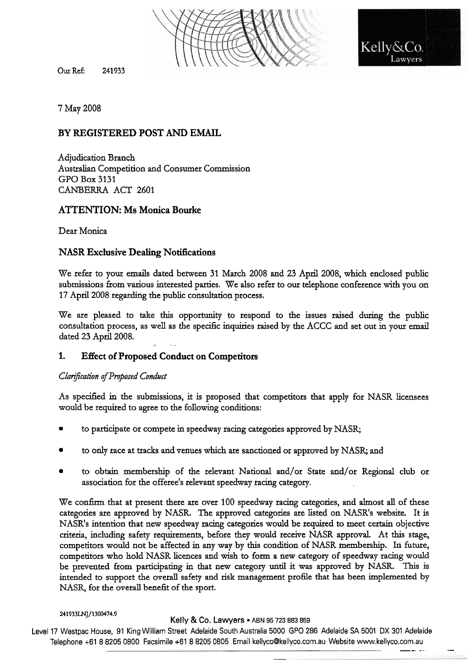

Our **ReE 241933** 

Kelly&0

7 May 2008

## **BY REGISTERED POST AND EMAIL**

Adjudication Branch Australian Competition and Consumer Commission GPO Box 3131 CANBERRA ACT 2601

## **ATTENTION: Ms Monica Bourke**

Dear Monica

## **NASR Exclusive Dealing Notifications**

We refer to your emails dated between 31 March 2008 and 23 April 2008, which enclosed public submissions from various interested parties. We also refer to our telephone conference with you on 17 April 2008 regarding the public consultation process.

We are pleased to take this opportunity to respond to the issues raised during the public consultation process, as well as the specific inquiries raised by the ACCC and set out in your email dated 23 April 2008.

## **1. Effect of Proposed Conduct on Competitors**

## **ClariJFcakion** *afPm\$osed* **Conduct**

As specified in the submissions, it is proposed that competitors that apply for NASR licensees would be required to agree to the following conditions:

- to participate or compete in speedway **racing** categories approved by NASR;
- to only race at tracks and venues which are sanctioned or approved by NASR; and
- to obtain membership of the relevant National and/or State and/or Regional club or association for the offeree's relevant speedway racing category.

We confirm that at present there are over 100 speedway racing categories, and almost all of these categories are approved by NASR. The approved categories are listed on NASR's website. It is NASR's intention that new speedway racing categories would be required to meet certain objective criteria, including safety requirements, before they would receive NASR approval. At this stage, competitors would not be affected in any way by this condition of NASR membership. In future, competitors who hold NASR licences and wish to fonn a new category of speedway racing would be prevented from participating in that new category **until** it was approved by NASR. This is intended to support the overall safety and risk management prohle that **has** been implemented by NASR, for the overall benefit of the sport.

#### **241933LNJ/1300474.9**

#### **Kelly & Co. Lawyers • ABN 95 723 883 859**

--

Level 17 Westpac House, 91 King William Street Adelaide South Australia 5000 GPO 286 Adelaide SA 5001 DX 301 Adelaide Telephone +61 8 8205 0800 Facsimile +61 8 8205 0805 Email kellyco@kellyco.com.au Website www.kellyco.com.au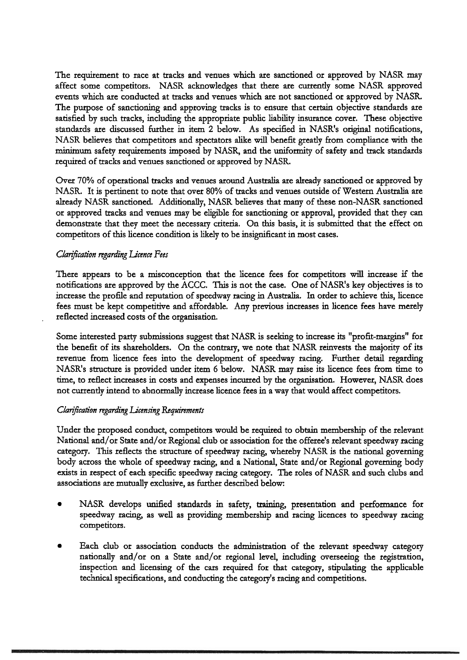The requirement to race at tracks and venues which are sanctioned or approved by NASR may affect some competitors. NASR acknowledges that there are currently some NASR approved events which are conducted at tracks and venues which are not sanctioned or approved by NASR. The purpose of sanctioning and approving tracks is to ensure that certain objective standards are satisfied by such tracks, including the appropriate public liability insurance cover. These objective standards are discussed further in item 2 below. As specified in NASR's original notifications, NASR believes that competitors and spectators alike will benefit greatly from compliance with the minimum safety requirements imposed by NASR, and the uniformity of safety and track standards required of tracks and venues sanctioned or approved by NASR.

Over 70% of operational tracks and venues around Australia are already sanctioned or approved by NASR. It is pertinent to note that over 80% of tracks and venues outside of Western Australia are already NASR sanctioned. Additionally, NASR believes that many of these non-NASR sanctioned or approved tracks and venues may be eligible for sanctioning or approval, provided that they can demonstrate that they meet the necessary criteria. On this basis, it is submitted that the effect on competitors of this licence condition is likely to be insignificant in most cases.

#### *Ckanj5cation regading Licence Fees*

There appears to be a misconception that the licence fees for competitors wiU increase if the notifications are approved by the ACCC. This is not the case. One of NASR's key objectives is to increase the profile and reputation of speedway racing in Australia. In order to achieve this, licence fees must be kept competitive and affordable. Any previous increases **in** licence fees have merely . reflected increased costs of the organisation.

Some interested party submissions suggest that NASR is seeking to increase its "profit-margins" for the benefit of its shareholders. On the contrary, we note that NASR reinvests the majoritg of its revenue from licence fees into the development of speedway racing. Further detail regarding NASR's structure is provided under item **G** below. NASR may raise its licence fees from time to time, to reflect increases in costs and expenses incurred by the organisation. However, NASR does not currently intend to abnormally increase licence fees in a way that would affect competitors.

#### *Clarification regarding Licensing Requirements*

Under the proposed conduct, competitors would be required to obtain membership of the relevant National and/or State and/or Regional club or association for the offeree's relevant speedway racing category. This reflects the structure of speedway racing, whereby NASR is the national governing body across the whole of speedway racing, and a National, State and/or Regional governing body exists in respect of each specific speedway racing category. The roles of NASR and such clubs and associations are mutually exclusive, as further described below:

- NASR develops unified standards in safety, training, presentation and performance for speedway racing, as well as providing membership and racing licences to speedway racing competitors.
- Each club or association conducts the administration of the relevant speedway category nationally and/or on a State and/or regional level, including overseeing the registration, inspection and licensing of the cars required for that category, stipulating the applicable technical specifications, and conducting the category's racing and competitions.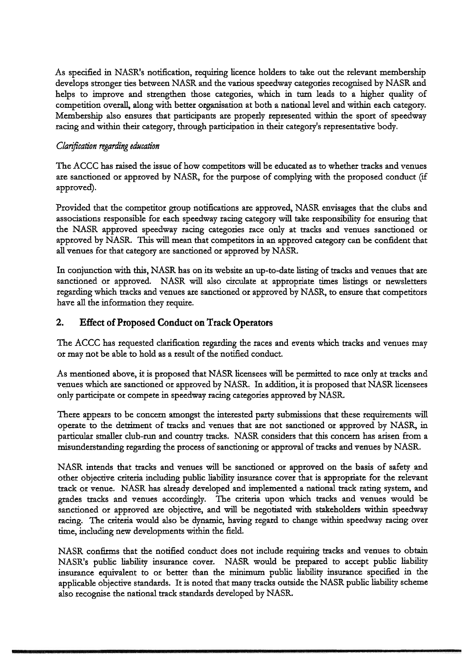As specified in NASR's notification, requiring licence holders to take out the relevant membership develops stronger ties between NASR and the various speedway categories recognised by NASR and helps to improve and strengthen those categories, which in turn leads to a higher quality of competition overall, along with better organisation at both a national level and within each category. Membership also ensures that participants are properly represented within the sport of speedway racing and within their category, through participation in their category's representative body.

## *Clarijication regarding education*

The ACCC has raised the issue of how competitors will be educated as to whether tracks and venues are sanctioned or approved by NASR, for the purpose of complying with the proposed conduct (if approved).

Provided that the competitor group notifications are approved, NASR envisages that the clubs and associations responsible for each speedway racing category **will** take responsibility for ensuring that the NASR approved speedway racing categories race only at tracks and venues sanctioned or approved by NASR. This will mean that competitors in an approved category **can** be confident that **all** venues for that category are sanctioned or approved by NASR.

In conjunction with this, NASR has on its website an up-to-date listing of tracks and venues that are sanctioned or approved. NASR will also circulate at appropriate times listings or newsletters regarding which tracks and venues are sanctioned or approved by NASR, to ensure that competitors have **all** the information they require.

# **2. Effect of Proposed Conduct on Track Operators**

The ACCC has requested clarification regarding the races and **events** which tracks and venues may or may not be able to hold as a result of the notified conduct.

As mentioned above, it is proposed that NASR licensees will be permitted to race only at tracks and venues which are sanctioned or approved by NASR, In addition, it is proposed that NASR licensees only participate or compete in speedway racing categories approved by NASR

There appears to be concern amongst the interested party submissions that these requirements will operate to the detriment of tracks and venues that are not sanctioned or approved by NASR, in particular smaller club-run and country tracks. NASR considers that this concern has arisen from a misunderstanding regarding the process of sanctioning or approval of tracks and venues by NASR.

NASR intends that tracks and venues will be sanctioned or approved on the basis of safety and other objective criteria including public liability insurance cover that is appropriate fot the relevant track or venue. NASR has already developed and implemented a national track rating system, and grades tracks and venues accordingly. The criteria upon which tracks and venues would be sanctioned or approved are objective, and will be negotiated with stakeholders within speedway racing. The criteria would also be dynamic, having regard to change within speedway racing over time, including new developments within the field.

NASR confirms that the notified conduct does not include requiring tracks and venues to obtain NASR's public liability insurance cover. NASR would be prepared to accept public liability insurance equivalent to or better than the minimum public liability insurance specified in the applicable objective standards. It is noted that many tracks outside the NASR public liabiliq scheme also recognise the national **ttack** standards developed by NASR.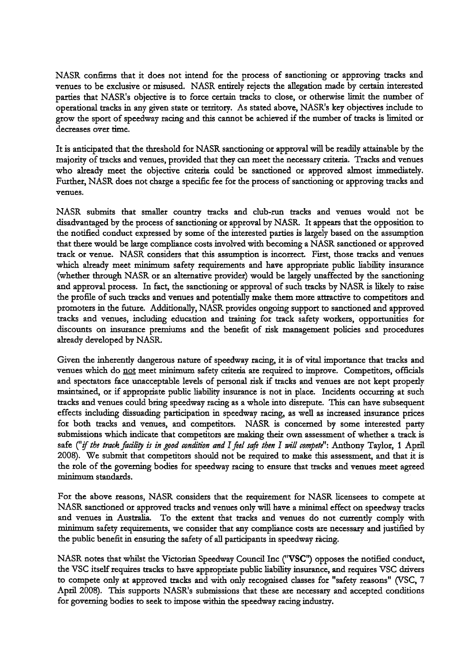NASR confirms that it does not intend for the process of sanctioning or approving tracks and venues to be exclusive or misused. NASR entirely rejects the allegation made by certain interested parties that NASR's objective is to force certain tracks to close, or otherwise limit the number of operational tracks in any given state or territory. As stated above, NASR's key objectives include to grow the sport of speedway racing and this cannot be achieved if the number of tracks is limited or decreases over time.

It is anticipated that the threshold for NASR sanctioning or approval will be readily attainable by the majority of tracks and venues, provided that they can meet the necessary criteria. Tracks and venues who already meet the objective criteria could be sanctioned or approved almost immediately. Further, NASR does not charge a specific fee for the process of sanctioning or approving tracks and venues.

NASR submits that smaller country tracks and club-run tracks and venues would not be disadvantaged by the process of sanctioning or approval by NASR. It appears that the opposition to the notified conduct expressed by some of the interested parties is largely based on the assumption that there would be large compliance costs involved with becoming a NASR sanctioned or approved track or venue. NASR considers that this assumption is incorrect First, those tracks and venues which already meet minimum safety requirements and have appropriate public liability insurance (whether through NASR or an alternative provider) would be largely unaffected by the sanctioning and approval process. In fact, the sanctioning or approval of such tracks by NASR is likely to raise the profile of such tracks and venues and potentially make them more attractive to competitors and promoters in the future. Additionally, NASR provides ongoing support to sanctioned and approved tracks and venues, including education and training for track safety workers, 'opportunities for discounts on insurance premiums and the benefit of risk management policies and procedures already developed by NASR.

Given the inherently dangerous nature of speedway racing, it is of vital importance that tracks and venues which do not meet minimum safety criteria are required to improve. Competitors, officials and spectators face unacceptable levels of personal risk if tracks and venues are not kept properly maintained, or if appropriate public liability insutance is not in place. Incidents occurring at such tracks and venues could bring speedway racing as a whole into disrepute. This can have subsequent effects including dissuading participation in speedway racing, as well as increased insutance prices for both tracks and venues, and competitors. NASR is concerned by some interested party submissions which indicate that competitors are making their own assessment of whether a track is safe ("if the track facility is in good condition and I feel safe then I will compete": Anthony Taylor, 1 April 2008). We submit that competitors should not be required to make this assessment, and that it is the role of the governing bodies for speedway racing to ensure that tracks and venues meet agreed minimum standards.

For the above reasons, NASR considers that the requirement for NASR licensees to compete at NASR sanctioned or approved ttacks and venues only will have a minimal effect on speedway tracks and venues in Australia. To the extent that tracks and venues do not currently comply with minimum safety requirements, we consider that any compliance costs are necessary and justified by the public benefit in ensuring the safety of all participants in speedway racing.

NASR notes that whilst the Victorian Speedway Council Inc ("VSC") opposes the notified conduct, the VSC itself requires tracks to have appropriate public liability insurance, and requires VSC drivers to compete only at approved tracks and with only recognised classes for "safety reasons" (VSC, 7 April 2008). This supports NASR's submissions that these are necessary and accepted conditions for governing bodies to seek to impose within the speedway racing industry.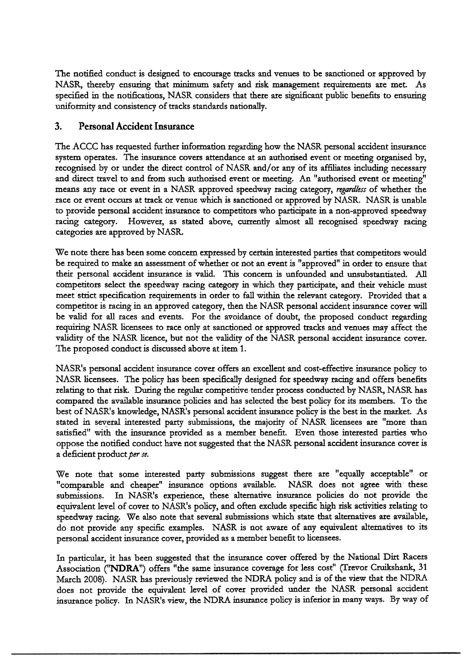The notified conduct is designed to encourage tracks and venues to be sanctioned or approved by NASR, thereby ensuring that minimum safety and risk management requirements are met As specified in the notifications, NASR considers that there are significant public benefits to ensuring uniformity and consistency of tracks standards nationally.

## **3. Personal Accident Insurance**

The ACCC has requested further information regarding how the NASR personal accident insurance system operates. The insurance covers attendance at an authorised event or meeting organised by, recognised by or under the direct control of NASR and/or any of its affiliates including necessary and ditect ttavel to and from such authorised event or meeting. An "authorised event or meeting" means any race or event in a NASR approved speedway racing category, *regardless* of whether the race or event occurs at track or venue which is sanctioned or approved by NASR. NASR is unable to provide personal accident insurance to competitors who participate in a non-approved speedway racing category. However, as stated above, currently almost all recognised speedway racing categories are approved by NASR

We note there has been some concern expressed by certain interested parties that competitors would be required to make an assessment of whether or not **an** event is "approved" in order to ensure that their personal accident insurance is valid. This concern is unfounded and unsubstantiated. All competitors select the speedway racing category in which they participate, and their vehicle must meet strict specification requirements in order to fall **within** the relevant category. Provided that a competitor is racing in an approved category, then the NASR personal accident insurance cover will be valid for **all** races and events. For the avoidance of doubt, the proposed conduct regarding requiring NASR licensees to race only at sanctioned or approved tracks and venues may affect the validity of the NASR licence, but not the validity of the NASR personal accident insurance cover. The proposed conduct is discussed above at item 1.

NASR's personal accident insurance cover offers an excellent and cost-effective insurance policy to NASR licensees. The policy has been specifically designed for speedway racing and offers benefits relating to that risk. During the regular competitive tender process conducted by NASR, NASR has compared the available insurance policies and has selected the best policy for its members. To the best of NASR's knowledge, NASR's personal accident insurance policy is the best in the market. As stated in several interested party submissions, the majority of NASR licensees ate "more than satisfied" with the insurance provided as a member benefit. Even those interested parties who oppose the notified conduct have not suggested that the NASR personal accident insurance cover is a deficient product per se.

We note that some interested party submissions suggest there are "equally acceptable" or "comparable and cheaper" insurance options available. NASR does not agree with these submissions. In NASR's experience, these alternative insurance policies do not provide the equivalent level of cover to NASR's policy, and often exclude specific **htgh** risk activities relating to speedway racing. We also note that several submissions which state that alternatives are available, do not provide any specific examples. NASR is not aware of any equivalent alternatives to its personal accident insurance cover, provided as a member benefit to licensees.

In particular, it has been suggested that the iasurance cover offered by the National **Ditt** Racers Association ("NDRA") offers "the same insurance coverage for less cost" (Trevor Cruikshank, 31 March 2008). NASR has previously reviewed the NDRA policy and is of the view that the NDRA does not provide the equivalent level of cover provided under the NASR personal accident insurance policy. In NASR's **view,** the NDRA insurance policy is inferior in many ways. By way of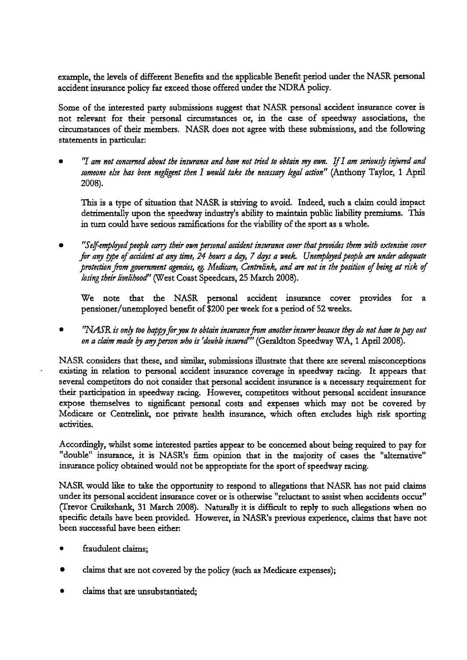example, the levels of different Benefits and the applicable Benefit period under the NASR personal accident insurance policy far exceed those offered under the NDRA policy.

Some of the interested party submissions suggest that NASR personal accident insurance cover is not relevant for their personal circumstances or, in the case of speedway associations, the citcumstances of their members. NASR does not agree with these submissions, and the following statements in particular:

"I *am not concerned about the insumnce and have not tried to obtain my own. If1 am seriousb injured and someone ehe has been negligent then I wouM take the necessary hgal action"* (Anthony Taylor, *1* April 2008).

This is a type of situation that NASR is striving to avoid. Indeed, such a claim could impact detrimentally upon the speedway industry's ability to maintain public liability premiums. This in tum could have serious ramifications for the viability of the sport as a whole.

"Self-employed people carry their own personal accident insurance cover that provides them with extensive cover for any type of accident at any time, 24 hours a day, 7 days a week. Unemployed people are under adequate *protection from government agencies, eg. Medicare, Centrelink, and are not in the position of being at risk of losing their livelihood"* (West Coast Speedcars, 25 March 2008).

We note that the NASR personal accident insurance cover provides for a pensioner/unemployed benefit of \$200 per week for a period of 52 weeks.

'MR *is on4 too happyj~ryou to obtain inmncefim another insurer because thy* **do** *not have topq ont on a* **claim** *made* by *anyperson who* is *'double insuredrr'* (Geraldton Speedway **WAY 1** April 2008).

NASR considers that these, and similar, submissions illustrate that there are several misconceptions existing in relation to personal accident insurance coverage in speedway racing. It appears that several competitors do not consider that personal accident insurance is a necessary requirement for their participation in speedway racing. However, competitors without personal accident insurance expose themselves to significant personal costs and expenses which may not be covered by Medicare or Centrelmk, nor private health insurance, which often excludes high risk sporting activities.

Accordingly, whilst some interested parties appear to be concerned about being required to pay for "double" insurance, it is NASR's firm opinion that in the majority of cases the "alternative" insurance policy obtained would not be appropriate for the sport of speedway racing.

NASR would like to take the opportunity to respond to allegations that NASR has not paid claims under its personal accident insurance cover or is otherwise "reluctant to assist when accidents occur" (Trevor Cruikshank, 31 March 2008). Naturally it is difficult to reply to such allegations when no specific details have been provided. However, in NASR's previous experience, claims that have not been successful have been either:

- ftaudulent claims;
- claims that are not covered by the policy (such as Medicare expenses);
- claims that are unsubstantiated;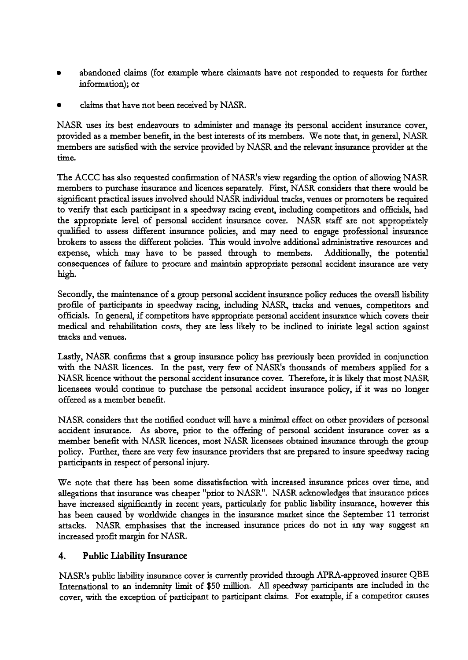- abandoned claims (for example where claimants have not responded to requests for further information); or
- claims that have not been received by NASR.

NASR uses its best endeavours to administer and manage its personal accident insurance cover, provided as a member benefit, in the best interests of its members. We note that, in general, NASR members are satisfied with the service provided by NASR and the relevant insurance provider at the time.

The ACCC has also requested confirmation of NASR's view regarding the option of allowing NASR members to purchase insurance and licences separately. First, NASR considers that there would be signtficant practical issues involved should NASR individual tracks, venues or promoters be required to verify that each participant in a speedway racing event, including competitors and officials, had the appropriate level of personal accident insurance cover. NASR staff are not appropriately quaJified to assess different insurance policies, and may need to engage professional insurance brokers to assess the different policies. This would involve additional administrative resources and expense, which may have to be passed through to members. Additionally, the potential consequences of failure to procure and maintain appropriate personal accident insurance are very high.

Secondly, the maintenance of a group personal accident insurance policy reduces the overall liability profile of participants in speedway racing, including NASR, tracks and venues, competitors and officials. In general, if competitors have appropriate personal accident insurance which covers their medical and rehabilitation costs, they are less likely to be inclined to initiate legal action against tracks and venues.

Lastly, NASR confirms that a group insurance policy has previously been provided in conjunction with the NASR licences. In the past, very few of NASR's thousands of members applied for a NASR licence without the personal accident insurance cover. Therefore, it is likely that most NASR licensees would continue to purchase the personal accident insurance policy, if it was no longer offered as a member benefit.

NASR considers that the notified conduct will have a **minimnl** effect on other providers of personal accident insurance. As above, prior to the offering of personal accident insurance cover as a member benefit with NASR licences, most NASR licensees obtained insurance through the group policy. Further, there are very few insurance providers that are prepared to insure speedway racing participants in respect of personal **injury.** 

We note that there has been some dissatisfaction with increased insurance prices over time, and allegations that insurance was cheaper "prior to NASR". NASR acknowledges that insurance prices have increased significantly in recent years, particularly for public liability insurance, however this has been caused by worldwide changes in the insurance market since the September 11 terrorist attacks. NASR emphasises that the increased insurance prices do not in any way suggest an increased profit margin for NASR.

## **4. Public Liability Insurance**

NASR's public liability insurance cover is currently provided through APRA-approved insurer QBE International to an indemnity limit of \$50 million. All speedway participants are included in the cover, with the exception of participant to participant claims. For example, if a competitor causes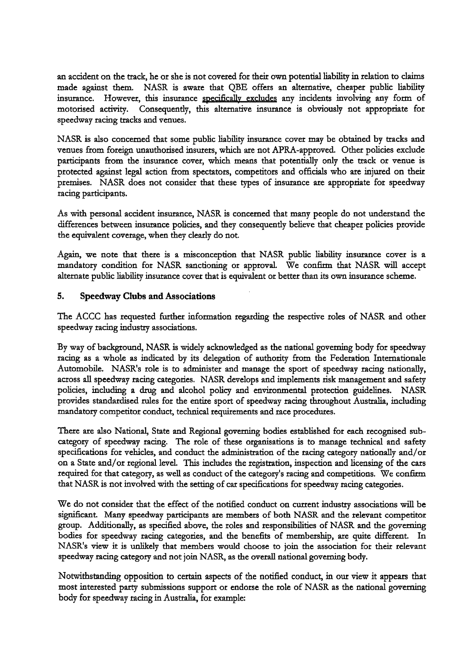an accident on the track, he or she is not covered for their own potential liability in relation to claims made against them. NASR is aware that QBE offers an alternative, cheaper public liability insurance. However, this insurance specifically excludes any incidents involving any form of motorised activiq. Consequently, this alternative insurance is obviously not appropriate for speedway racing tracks and venues.

NASR is also concemed that some public liability insurance cover may be obtained by tracks and venues from foreign unauthorised insurers, which are not APRA-approved. Other policies exclude participants from the insurance cover, which means that potentially only the ttack or venue is protected against legal action from spectators, competitors and officials who are injured on their premises. NASR does not consider that these types of insurance are appropriate for speedway racing participants.

As with personal accident insurance, NASR is concemed that many people do not understand the differences between insurance policies, and they consequently believe that cheaper policies provide the equivalent coverage, when they clearly do not.

Again, we note that there is a misconception that NASR public liability insurance cover is a mandatory condition for NASR sanctioning or approval. We confirm that NASR will accept alternate public liability insurance cover that is equivalent or better than its own insurance scheme.

#### 5. **Speedway Clubs and Associations**

The ACCC has requested further information regatding the respective roles of NASR and other speedway racing industry associations.

By way of background, NASR is widely acknowledged as the national governing body for speedway racing as a whole as indicated by its delegation of authority from the Federation Internationale Automobile. NASR's role is to administer and manage the sport of speedway racing nationally, across **all** speedway racing categories. NASR develops and implements risk management and safety policies, including a drug and alcohol policy and environmental protection guidelines. NASR provides standardised rules for the entire sport of speedway racing throughout Australia, including mandatory competitor conduct, technical requirements and race procedures.

There are also National, State and Regional governing bodies established for each recognised subcategory of speedway racing. The role of these organisations is to manage technical and safety specifications for vehicles, and conduct the administration of the racing category nationally and/or on a State and/or regional level. This includes the registration, inspection and licensing of the cars required for that category, as well as conduct of the category's racing and competitions. We confirm that NASR is not involved with the setting of car specifications for speedway racing categories.

We do not consider that the effect of the notified conduct on current industry associations will be significant. Many speedway participants are members of both NASR and the relevant competitor group. Additionally, as specified above, the roles and responsibilities of NASR and the governing bodies for speedway racing categories, and the benefits of membership, are quite different. In NASR's view it is unlikely that members would choose to join the association for their relevant speedway racing category and not join NASR, as the overall national governing body.

Notwithstanding opposition to certain aspects of the notified conduct, in our view it appears that most interested party submissions support or endorse the role of NASR as the national governing body for speedway racing in Australia, for example: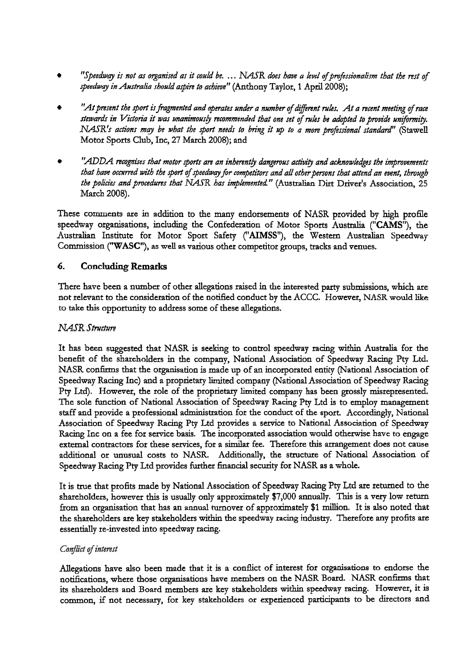- *"Speedway is not* **as** *organised as it could be.* . . . *NRTR does have a fevef ofprojssionaftjpn that the* **rest** *of Jpeedwg in Australia ~houfd aJpin to achieve"* (Anthony Taylor, *1* April 2008);
- ''At present the sport is fragmented and operates under a number of different rules. At a recent meeting of race stewards in Victoria it was unanimously recommended that one set of rules be adopted to provide uniformity. *NASR's actions may be what the port needs to bring it* **up** *to a more pmfessiona/ standard'* (Stawell Motor Sports Club, Inc, 27 March 2008); and
- *'LADDA recognises that motor ports an an inherent4 dangerous actiyig and acknowhdges the improvements that have occurred with the sport of speedway for competitors and all other persons that attend an event, through* the policies and procedures that NASR has implemented." (Australian Dirt Driver's Association, 25 March 2008).

These comments are in addition to the many endorsements of NASR provided by high profile speedway organisations, including the Confederation of Motor Sports Australia ("CAMS"), the Australian Institute for Motor Sport Safety ("AIMSS"), the Western Australian Speedway Commission ("WASC"), as well as various other competitor groups, tracks and venues.

## 6. Concluding **Remarks**

There have been a number of other allegations raised in the interested party submissions, which are not relevant to the consideration of the notified conduct by the ACCC. However, NASR would like to take this opportunity to address some of these allegations.

## *NASR Structure*

It has been suggested that NASR is seeking to control speedway racing within Australia for the benefit of the shareholders in the company, National Association of Speedway Racing Pty Ltd. NASR confirms that the organisation is made up of an incorporated entity (National Association of Speedway Racing Inc) and a proprietary limited company (National Association of Speedway Racing Pty Ltd). However, the role of the proprietary limited company has been grossly misrepresented. The sole function of National Association of Speedway Racing Pty Ltd is to employ management staff and provide a professional administration for the conduct of the sport. Accordingly, National Association of Speedway Racing **Pty** Ltd provides a service to National Association of Speedway Racing Inc on a fee for service basis. The incorporated association would otherwise have to engage external contractors for these services, for a similar fee. Therefore this arrangement does not cause additional or unusual costs to NASR. Additionally, the structure of National Association of Speedway Racing Pty Ltd provides further financial security for NASR as a whole.

It is true that profits made by National Association of Speedway Racing Pty Ltd are returned to the shareholders, however this is usually only approximately \$7,000 annually. This is a **very** low return from an organisation that has an annual turnover of approximately \$1 million. It is also noted that the shareholders are key stakeholders within the speedway racing industty. Therefore any profits are essentially re-invested into speedway racing.

## Conflict of interest

Allegations have also been made that it is a conflict of interest for organisations to endorse the notifications, where those organisations have members on the NASR Board. NASR confirms that its shareholders and Board members are key stakeholders within speedway racing. However, it is common, if not necessary, for key stakeholders or experienced participants to be directors and